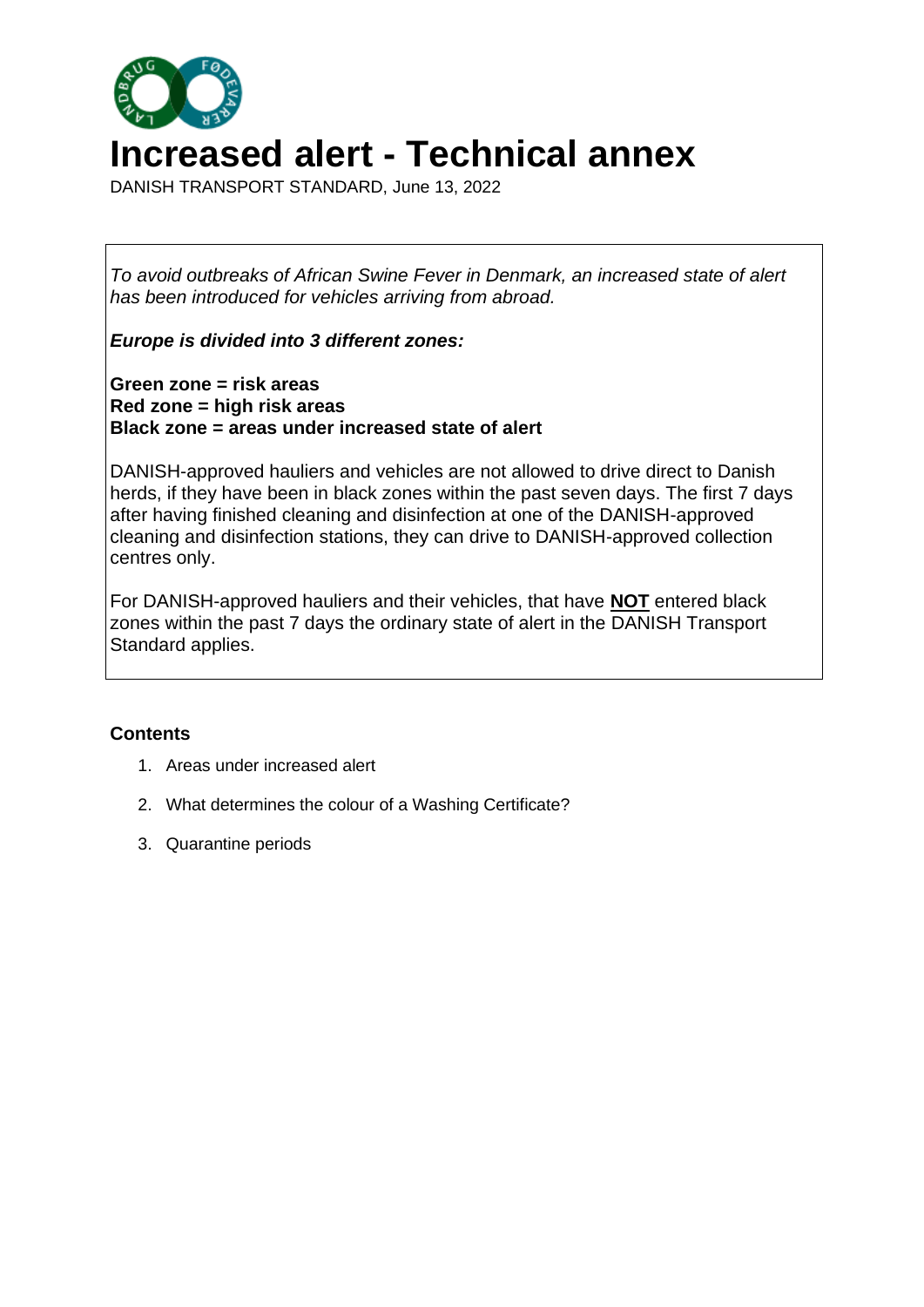

DANISH TRANSPORT STANDARD, June 13, 2022

*To avoid outbreaks of African Swine Fever in Denmark, an increased state of alert has been introduced for vehicles arriving from abroad.*

*Europe is divided into 3 different zones:*

**Green zone = risk areas Red zone = high risk areas Black zone = areas under increased state of alert**

DANISH-approved hauliers and vehicles are not allowed to drive direct to Danish herds, if they have been in black zones within the past seven days. The first 7 days after having finished cleaning and disinfection at one of the DANISH-approved cleaning and disinfection stations, they can drive to DANISH-approved collection centres only.

For DANISH-approved hauliers and their vehicles, that have **NOT** entered black zones within the past 7 days the ordinary state of alert in the DANISH Transport Standard applies.

## **Contents**

- 1. Areas under increased alert
- 2. What determines the colour of a Washing Certificate?
- 3. Quarantine periods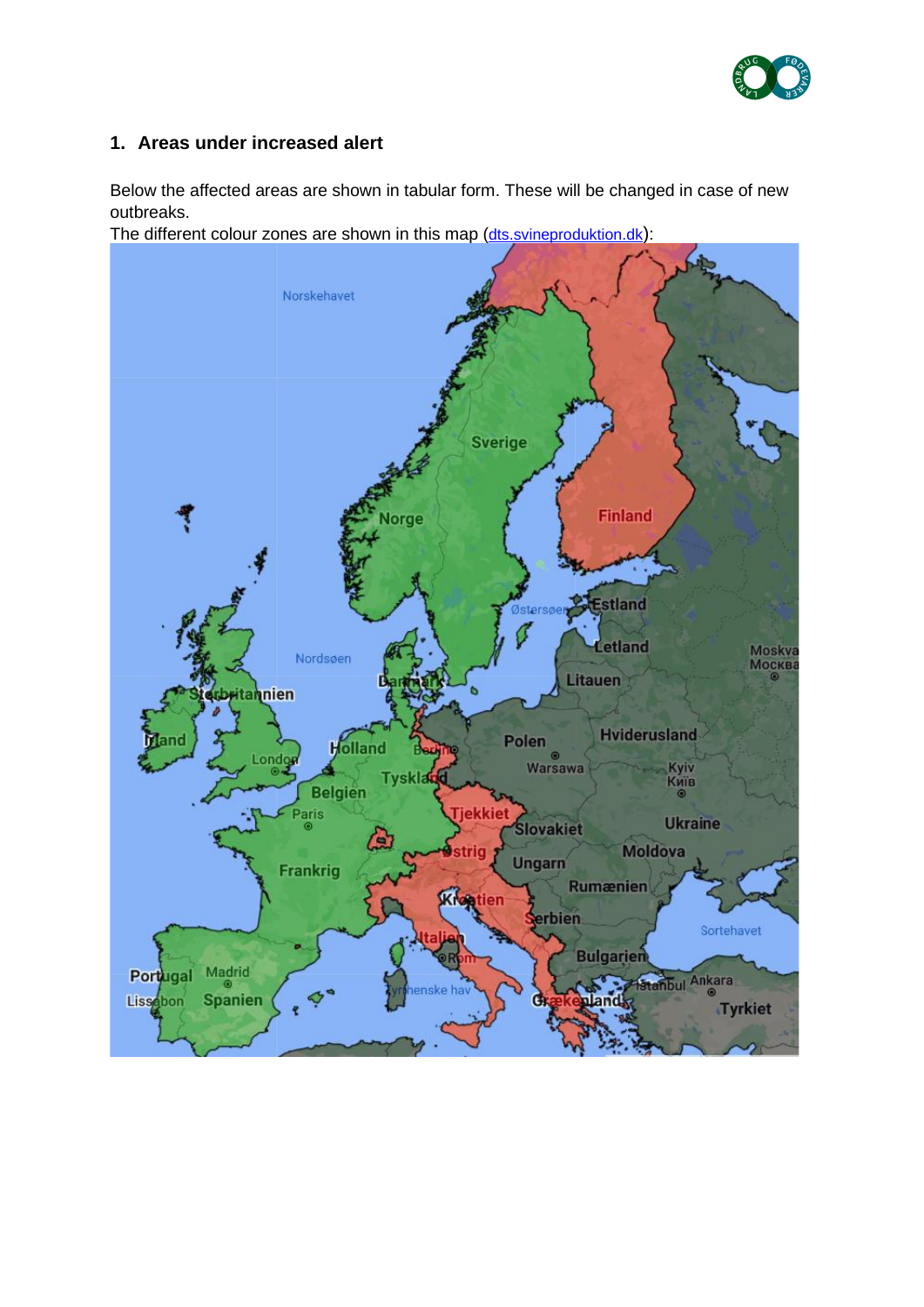

## **1. Areas under increased alert**

Below the affected areas are shown in tabular form. These will be changed in case of new outbreaks.

The different colour zones are shown in this map ([dts.svineproduktion.dk](https://svineproduktion.dk/viden/paa-kontoret/love-_regler-og-standarder/transportstandard#afrikansk-svinepest-aktuel-status-og-oversigt-over-risikoomraader)):

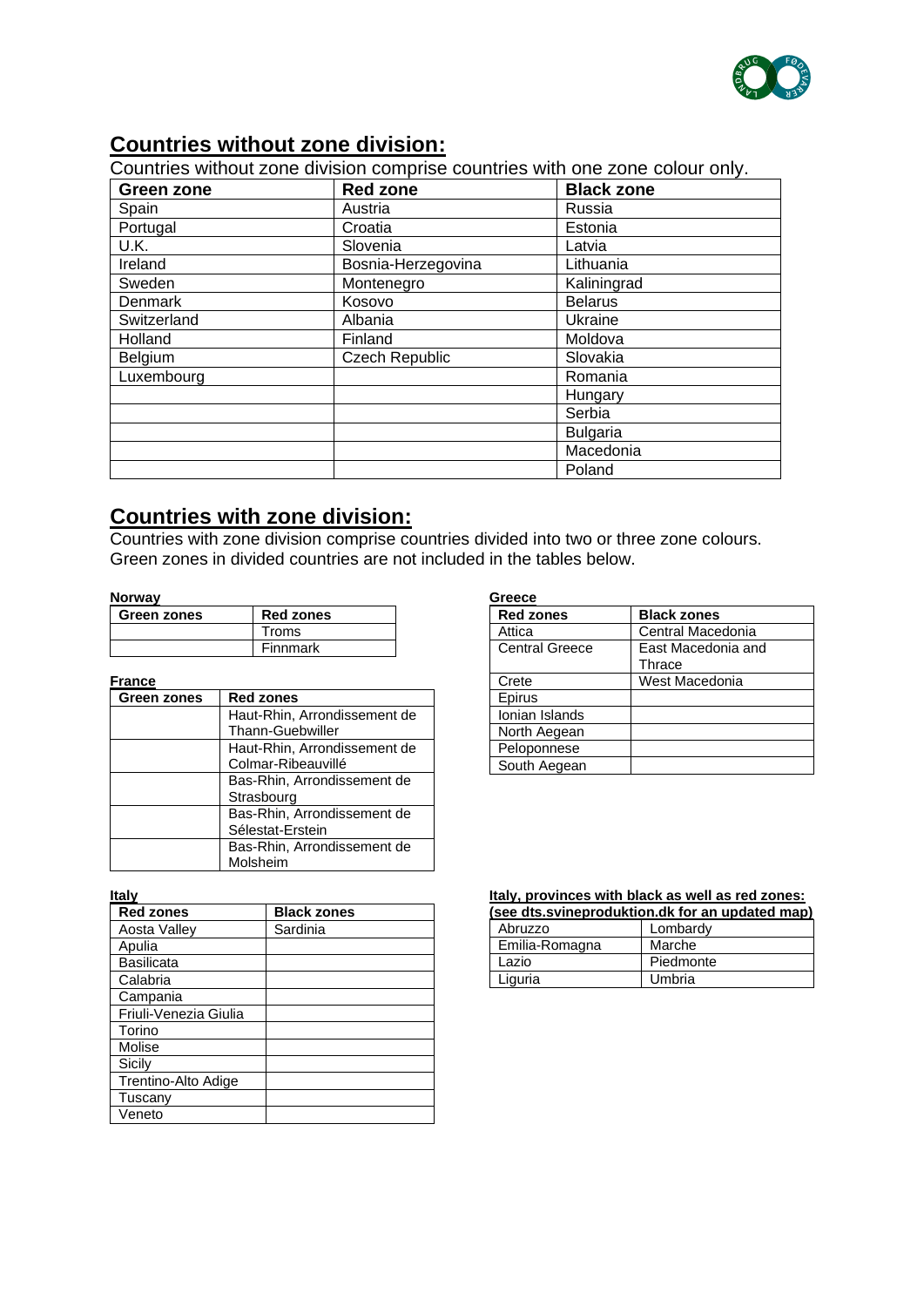

## **Countries without zone division:**

Countries without zone division comprise countries with one zone colour only.

| Green zone                    | <b>Red zone</b>       | <b>Black zone</b> |  |
|-------------------------------|-----------------------|-------------------|--|
| Spain                         | Austria               | Russia            |  |
| Portugal                      | Croatia               | Estonia           |  |
| U.K.                          | Slovenia              | Latvia            |  |
| Ireland<br>Bosnia-Herzegovina |                       | Lithuania         |  |
| Sweden                        | Montenegro            | Kaliningrad       |  |
| Denmark                       | Kosovo                | <b>Belarus</b>    |  |
| Switzerland                   | Albania               | Ukraine           |  |
| Holland                       | Finland               | Moldova           |  |
| Belgium                       | <b>Czech Republic</b> | Slovakia          |  |
| Luxembourg                    |                       | Romania           |  |
|                               |                       | Hungary           |  |
|                               |                       | Serbia            |  |
|                               |                       | <b>Bulgaria</b>   |  |
|                               |                       | Macedonia         |  |
|                               |                       | Poland            |  |

## **Countries with zone division:**

Countries with zone division comprise countries divided into two or three zone colours. Green zones in divided countries are not included in the tables below.

#### **Norway**

| Green zones | <b>Red zones</b> |  |
|-------------|------------------|--|
|             | Troms            |  |
|             | Finnmark         |  |

#### **France**

| Green zones | <b>Red zones</b>             |  |
|-------------|------------------------------|--|
|             | Haut-Rhin, Arrondissement de |  |
|             | <b>Thann-Guebwiller</b>      |  |
|             | Haut-Rhin, Arrondissement de |  |
|             | Colmar-Ribeauvillé           |  |
|             | Bas-Rhin, Arrondissement de  |  |
|             | Strasbourg                   |  |
|             | Bas-Rhin, Arrondissement de  |  |
|             | Sélestat-Erstein             |  |
|             | Bas-Rhin, Arrondissement de  |  |
|             | Molsheim                     |  |

**Italy**

| <b>Red zones</b>      | <b>Black zones</b> |
|-----------------------|--------------------|
| Aosta Valley          | Sardinia           |
| Apulia                |                    |
| <b>Basilicata</b>     |                    |
| Calabria              |                    |
| Campania              |                    |
| Friuli-Venezia Giulia |                    |
| Torino                |                    |
| Molise                |                    |
| Sicily                |                    |
| Trentino-Alto Adige   |                    |
| Tuscany               |                    |
| Veneto                |                    |

| Greece                |                    |  |  |
|-----------------------|--------------------|--|--|
| <b>Red zones</b>      | <b>Black zones</b> |  |  |
| Attica                | Central Macedonia  |  |  |
| <b>Central Greece</b> | East Macedonia and |  |  |
|                       | Thrace             |  |  |
| Crete                 | West Macedonia     |  |  |
| Epirus                |                    |  |  |
| Ionian Islands        |                    |  |  |
| North Aegean          |                    |  |  |
| Peloponnese           |                    |  |  |
| South Aegean          |                    |  |  |

# **Italy, provinces with black as well as red zones:**

| (see dts.svineproduktion.dk for an updated map) |           |  |
|-------------------------------------------------|-----------|--|
| Abruzzo                                         | Lombardy  |  |
| Emilia-Romagna                                  | Marche    |  |
| Lazio                                           | Piedmonte |  |
| Liguria                                         | Umbria    |  |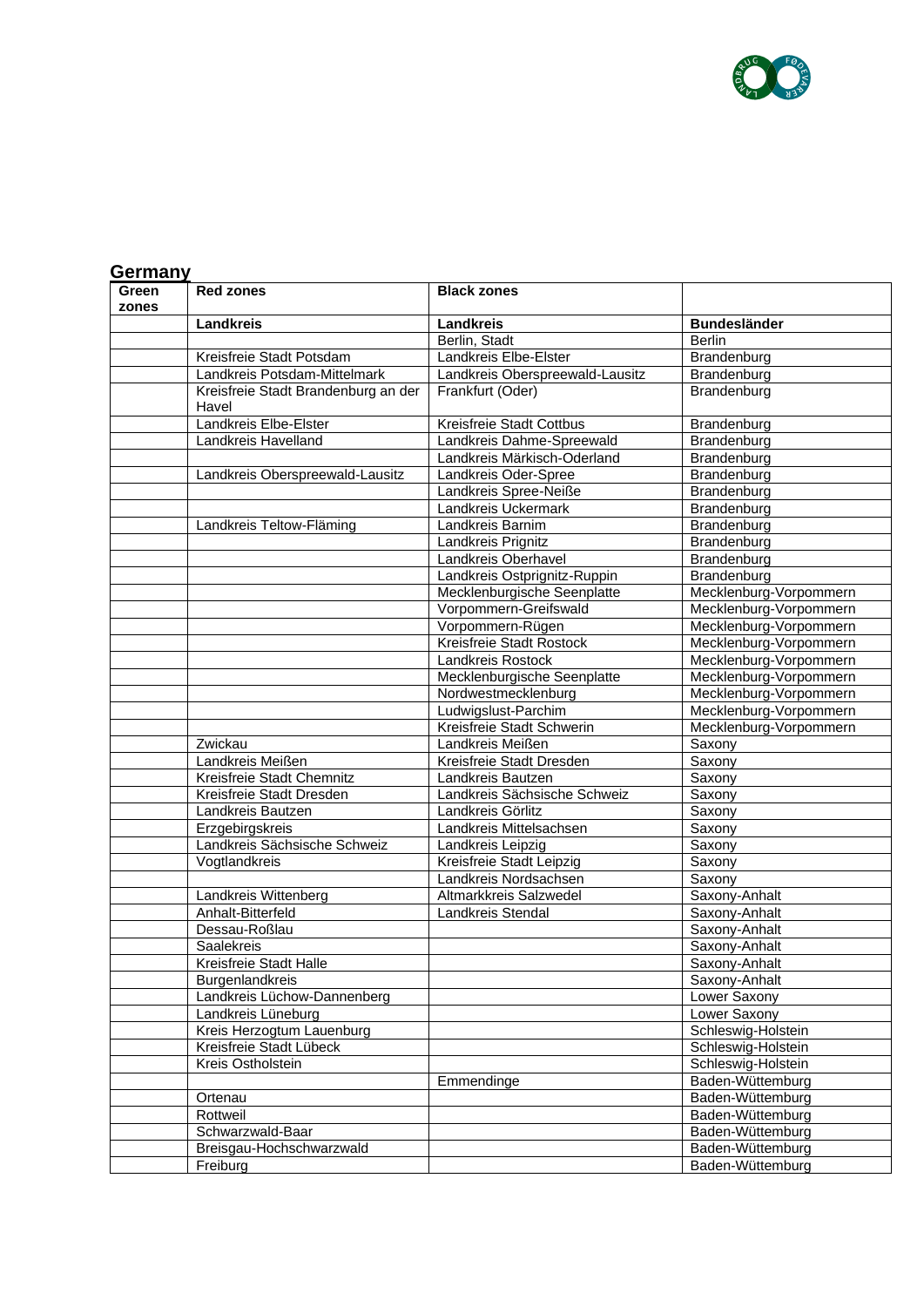

|                | Germany                                      |                                 |                        |  |  |
|----------------|----------------------------------------------|---------------------------------|------------------------|--|--|
| Green<br>zones | <b>Red zones</b>                             | <b>Black zones</b>              |                        |  |  |
|                | <b>Landkreis</b>                             | Landkreis                       | <b>Bundesländer</b>    |  |  |
|                |                                              | Berlin, Stadt                   | <b>Berlin</b>          |  |  |
|                | Kreisfreie Stadt Potsdam                     | Landkreis Elbe-Elster           | Brandenburg            |  |  |
|                | Landkreis Potsdam-Mittelmark                 | Landkreis Oberspreewald-Lausitz | Brandenburg            |  |  |
|                | Kreisfreie Stadt Brandenburg an der<br>Havel | Frankfurt (Oder)                | Brandenburg            |  |  |
|                | Landkreis Elbe-Elster                        | Kreisfreie Stadt Cottbus        | Brandenburg            |  |  |
|                | Landkreis Havelland                          | Landkreis Dahme-Spreewald       | Brandenburg            |  |  |
|                |                                              | Landkreis Märkisch-Oderland     | Brandenburg            |  |  |
|                | Landkreis Oberspreewald-Lausitz              | Landkreis Oder-Spree            | Brandenburg            |  |  |
|                |                                              | Landkreis Spree-Neiße           | Brandenburg            |  |  |
|                |                                              | Landkreis Uckermark             | Brandenburg            |  |  |
|                | Landkreis Teltow-Fläming                     | Landkreis Barnim                | Brandenburg            |  |  |
|                |                                              | Landkreis Prignitz              | Brandenburg            |  |  |
|                |                                              | Landkreis Oberhavel             | Brandenburg            |  |  |
|                |                                              | Landkreis Ostprignitz-Ruppin    | Brandenburg            |  |  |
|                |                                              | Mecklenburgische Seenplatte     | Mecklenburg-Vorpommern |  |  |
|                |                                              | Vorpommern-Greifswald           | Mecklenburg-Vorpommern |  |  |
|                |                                              | Vorpommern-Rügen                | Mecklenburg-Vorpommern |  |  |
|                |                                              | Kreisfreie Stadt Rostock        | Mecklenburg-Vorpommern |  |  |
|                |                                              | Landkreis Rostock               | Mecklenburg-Vorpommern |  |  |
|                |                                              | Mecklenburgische Seenplatte     | Mecklenburg-Vorpommern |  |  |
|                |                                              | Nordwestmecklenburg             | Mecklenburg-Vorpommern |  |  |
|                |                                              | Ludwigslust-Parchim             | Mecklenburg-Vorpommern |  |  |
|                |                                              | Kreisfreie Stadt Schwerin       | Mecklenburg-Vorpommern |  |  |
|                | Zwickau                                      | Landkreis Meißen                | Saxony                 |  |  |
|                | Landkreis Meißen                             | Kreisfreie Stadt Dresden        | Saxony                 |  |  |
|                | Kreisfreie Stadt Chemnitz                    | Landkreis Bautzen               | Saxony                 |  |  |
|                | Kreisfreie Stadt Dresden                     | Landkreis Sächsische Schweiz    | Saxony                 |  |  |
|                | Landkreis Bautzen                            | Landkreis Görlitz               | Saxony                 |  |  |
|                | Erzgebirgskreis                              | Landkreis Mittelsachsen         | Saxony                 |  |  |
|                | Landkreis Sächsische Schweiz                 | Landkreis Leipzig               | Saxony                 |  |  |
|                | Vogtlandkreis                                | Kreisfreie Stadt Leipzig        | Saxony                 |  |  |
|                |                                              | Landkreis Nordsachsen           | Saxony                 |  |  |
|                | Landkreis Wittenberg                         | Altmarkkreis Salzwedel          | Saxony-Anhalt          |  |  |
|                | Anhalt-Bitterfeld                            | Landkreis Stendal               | Saxony-Anhalt          |  |  |
|                | Dessau-Roßlau                                |                                 | Saxony-Anhalt          |  |  |
|                | Saalekreis                                   |                                 | Saxony-Anhalt          |  |  |
|                | Kreisfreie Stadt Halle                       |                                 | Saxony-Anhalt          |  |  |
|                | Burgenlandkreis                              |                                 | Saxony-Anhalt          |  |  |
|                | Landkreis Lüchow-Dannenberg                  |                                 | Lower Saxony           |  |  |
|                | Landkreis Lüneburg                           |                                 | Lower Saxony           |  |  |
|                | Kreis Herzogtum Lauenburg                    |                                 | Schleswig-Holstein     |  |  |
|                | Kreisfreie Stadt Lübeck                      |                                 | Schleswig-Holstein     |  |  |
|                | Kreis Ostholstein                            |                                 | Schleswig-Holstein     |  |  |
|                |                                              | Emmendinge                      | Baden-Wüttemburg       |  |  |
|                | Ortenau                                      |                                 | Baden-Wüttemburg       |  |  |
|                | Rottweil                                     |                                 | Baden-Wüttemburg       |  |  |
|                | Schwarzwald-Baar                             |                                 | Baden-Wüttemburg       |  |  |
|                | Breisgau-Hochschwarzwald                     |                                 | Baden-Wüttemburg       |  |  |
|                | Freiburg                                     |                                 | Baden-Wüttemburg       |  |  |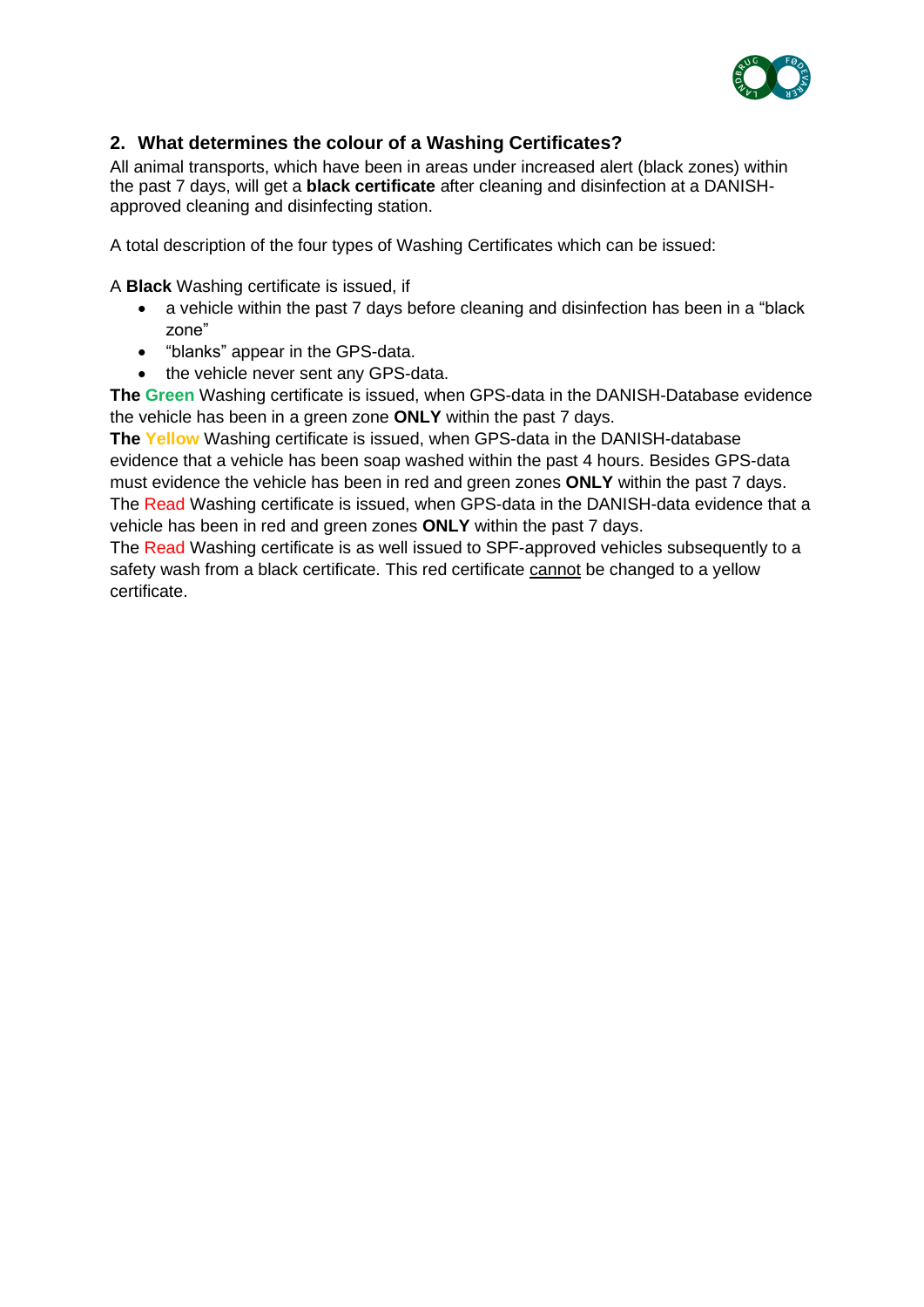

## **2. What determines the colour of a Washing Certificates?**

All animal transports, which have been in areas under increased alert (black zones) within the past 7 days, will get a **black certificate** after cleaning and disinfection at a DANISHapproved cleaning and disinfecting station.

A total description of the four types of Washing Certificates which can be issued:

A **Black** Washing certificate is issued, if

- a vehicle within the past 7 days before cleaning and disinfection has been in a "black zone"
- "blanks" appear in the GPS-data.
- the vehicle never sent any GPS-data.

**The Green** Washing certificate is issued, when GPS-data in the DANISH-Database evidence the vehicle has been in a green zone **ONLY** within the past 7 days.

**The Yellow** Washing certificate is issued, when GPS-data in the DANISH-database evidence that a vehicle has been soap washed within the past 4 hours. Besides GPS-data must evidence the vehicle has been in red and green zones **ONLY** within the past 7 days. The Read Washing certificate is issued, when GPS-data in the DANISH-data evidence that a vehicle has been in red and green zones **ONLY** within the past 7 days.

The Read Washing certificate is as well issued to SPF-approved vehicles subsequently to a safety wash from a black certificate. This red certificate cannot be changed to a yellow certificate.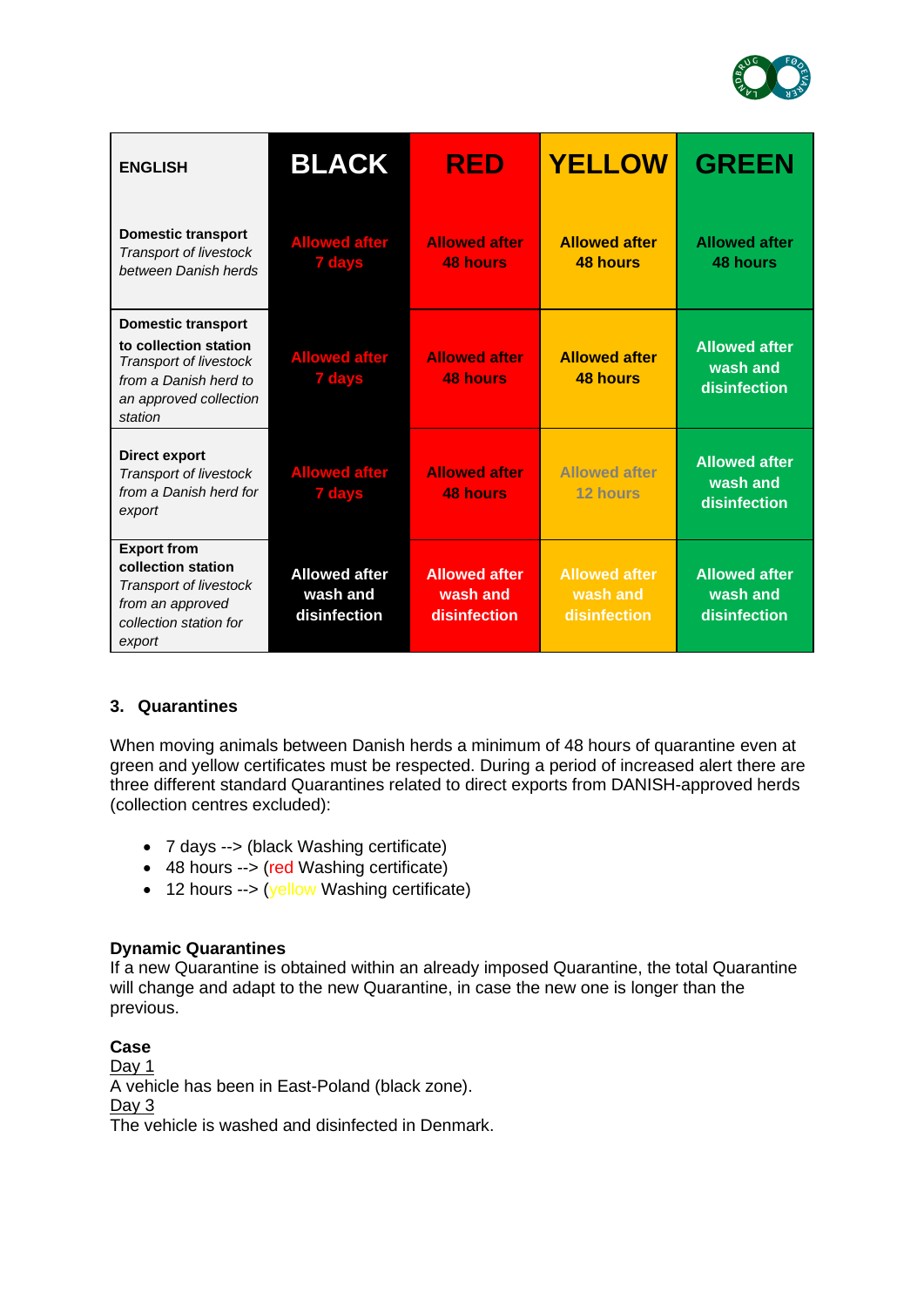

| <b>ENGLISH</b>                                                                                                                             | <b>BLACK</b>                                     | <b>RED</b>                                       | <b>YELLOW</b>                                    | <b>GREEN</b>                                     |
|--------------------------------------------------------------------------------------------------------------------------------------------|--------------------------------------------------|--------------------------------------------------|--------------------------------------------------|--------------------------------------------------|
| <b>Domestic transport</b><br><b>Transport of livestock</b><br>between Danish herds                                                         | <b>Allowed after</b><br><b>7 days</b>            | <b>Allowed after</b><br><b>48 hours</b>          | <b>Allowed after</b><br><b>48 hours</b>          | <b>Allowed after</b><br>48 hours                 |
| <b>Domestic transport</b><br>to collection station<br>Transport of livestock<br>from a Danish herd to<br>an approved collection<br>station | <b>Allowed after</b><br><b>7 days</b>            | <b>Allowed after</b><br><b>48 hours</b>          | <b>Allowed after</b><br><b>48 hours</b>          | <b>Allowed after</b><br>wash and<br>disinfection |
| <b>Direct export</b><br><b>Transport of livestock</b><br>from a Danish herd for<br>export                                                  | <b>Allowed after</b><br><b>7 days</b>            | <b>Allowed after</b><br><b>48 hours</b>          | <b>Allowed after</b><br>12 hours                 | <b>Allowed after</b><br>wash and<br>disinfection |
| <b>Export from</b><br>collection station<br>Transport of livestock<br>from an approved<br>collection station for<br>export                 | <b>Allowed after</b><br>wash and<br>disinfection | <b>Allowed after</b><br>wash and<br>disinfection | <b>Allowed after</b><br>wash and<br>disinfection | <b>Allowed after</b><br>wash and<br>disinfection |

## **3. Quarantines**

When moving animals between Danish herds a minimum of 48 hours of quarantine even at green and yellow certificates must be respected. During a period of increased alert there are three different standard Quarantines related to direct exports from DANISH-approved herds (collection centres excluded):

- 7 days --> (black Washing certificate)
- 48 hours --> (red Washing certificate)
- 12 hours --> (yellow Washing certificate)

### **Dynamic Quarantines**

If a new Quarantine is obtained within an already imposed Quarantine, the total Quarantine will change and adapt to the new Quarantine, in case the new one is longer than the previous.

**Case** Day 1 A vehicle has been in East-Poland (black zone). Day 3 The vehicle is washed and disinfected in Denmark.